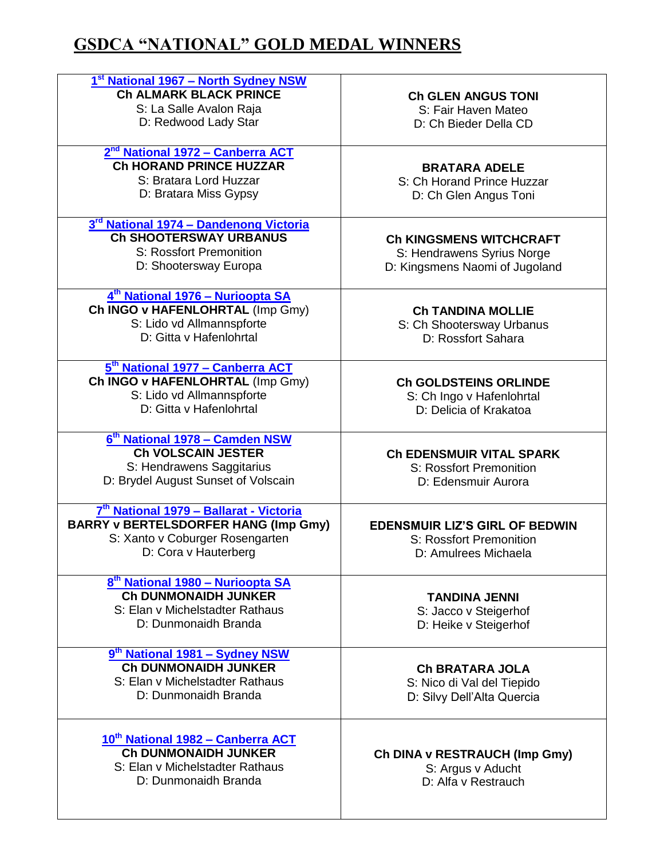## **GSDCA "NATIONAL" GOLD MEDAL WINNERS**

| 1st National 1967 - North Sydney NSW<br><b>Ch ALMARK BLACK PRINCE</b><br>S: La Salle Avalon Raja<br>D: Redwood Lady Star                          | <b>Ch GLEN ANGUS TONI</b><br>S: Fair Haven Mateo<br>D: Ch Bieder Della CD                      |
|---------------------------------------------------------------------------------------------------------------------------------------------------|------------------------------------------------------------------------------------------------|
| 2 <sup>nd</sup> National 1972 - Canberra ACT<br><b>Ch HORAND PRINCE HUZZAR</b><br>S: Bratara Lord Huzzar<br>D: Bratara Miss Gypsy                 | <b>BRATARA ADELE</b><br>S: Ch Horand Prince Huzzar<br>D: Ch Glen Angus Toni                    |
| 3 <sup>rd</sup> National 1974 - Dandenong Victoria<br><b>Ch SHOOTERSWAY URBANUS</b><br>S: Rossfort Premonition<br>D: Shootersway Europa           | <b>Ch KINGSMENS WITCHCRAFT</b><br>S: Hendrawens Syrius Norge<br>D: Kingsmens Naomi of Jugoland |
| 4 <sup>th</sup> National 1976 – Nurioopta SA<br>Ch INGO v HAFENLOHRTAL (Imp Gmy)<br>S: Lido vd Allmannspforte<br>D: Gitta v Hafenlohrtal          | <b>Ch TANDINA MOLLIE</b><br>S: Ch Shootersway Urbanus<br>D: Rossfort Sahara                    |
| 5 <sup>th</sup> National 1977 - Canberra ACT<br>Ch INGO v HAFENLOHRTAL (Imp Gmy)<br>S: Lido vd Allmannspforte<br>D: Gitta v Hafenlohrtal          | <b>Ch GOLDSTEINS ORLINDE</b><br>S: Ch Ingo v Hafenlohrtal<br>D: Delicia of Krakatoa            |
| 6 <sup>th</sup> National 1978 – Camden NSW<br><b>Ch VOLSCAIN JESTER</b><br>S: Hendrawens Saggitarius<br>D: Brydel August Sunset of Volscain       | <b>Ch EDENSMUIR VITAL SPARK</b><br>S: Rossfort Premonition<br>D: Edensmuir Aurora              |
| 7th National 1979 - Ballarat - Victoria<br><b>BARRY v BERTELSDORFER HANG (Imp Gmy)</b><br>S: Xanto v Coburger Rosengarten<br>D: Cora v Hauterberg | <b>EDENSMUIR LIZ'S GIRL OF BEDWIN</b><br>S: Rossfort Premonition<br>D: Amulrees Michaela       |
| 8 <sup>th</sup> National 1980 - Nurioopta SA<br><b>Ch DUNMONAIDH JUNKER</b><br>S: Elan v Michelstadter Rathaus<br>D: Dunmonaidh Branda            | <b>TANDINA JENNI</b><br>S: Jacco v Steigerhof<br>D: Heike v Steigerhof                         |
| 9 <sup>th</sup> National 1981 – Sydney NSW<br><b>Ch DUNMONAIDH JUNKER</b><br>S: Elan v Michelstadter Rathaus<br>D: Dunmonaidh Branda              | <b>Ch BRATARA JOLA</b><br>S: Nico di Val del Tiepido<br>D: Silvy Dell'Alta Quercia             |
| 10 <sup>th</sup> National 1982 - Canberra ACT<br><b>Ch DUNMONAIDH JUNKER</b><br>S: Elan v Michelstadter Rathaus<br>D: Dunmonaidh Branda           | Ch DINA v RESTRAUCH (Imp Gmy)<br>S: Argus v Aducht<br>D: Alfa v Restrauch                      |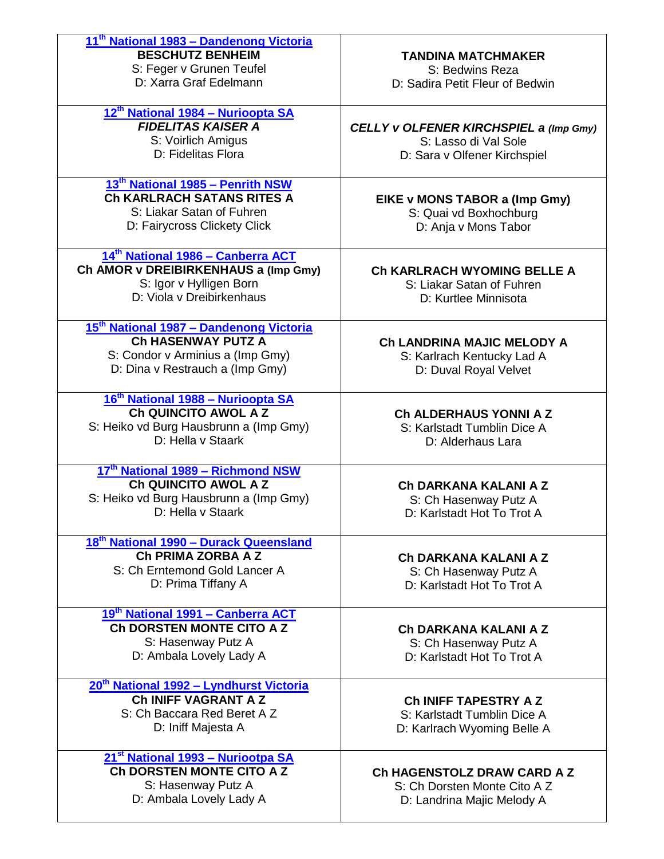| 11 <sup>th</sup> National 1983 - Dandenong Victoria<br><b>BESCHUTZ BENHEIM</b><br>S: Feger v Grunen Teufel<br>D: Xarra Graf Edelmann                    | <b>TANDINA MATCHMAKER</b><br>S: Bedwins Reza<br>D: Sadira Petit Fleur of Bedwin                |
|---------------------------------------------------------------------------------------------------------------------------------------------------------|------------------------------------------------------------------------------------------------|
| 12 <sup>th</sup> National 1984 - Nurioopta SA<br><b>FIDELITAS KAISER A</b><br>S: Voirlich Amigus<br>D: Fidelitas Flora                                  | CELLY v OLFENER KIRCHSPIEL a (Imp Gmy)<br>S: Lasso di Val Sole<br>D: Sara v Olfener Kirchspiel |
| 13 <sup>th</sup> National 1985 - Penrith NSW<br><b>Ch KARLRACH SATANS RITES A</b><br>S: Liakar Satan of Fuhren<br>D: Fairycross Clickety Click          | EIKE v MONS TABOR a (Imp Gmy)<br>S: Quai vd Boxhochburg<br>D: Anja v Mons Tabor                |
| 14 <sup>th</sup> National 1986 - Canberra ACT<br>Ch AMOR v DREIBIRKENHAUS a (Imp Gmy)<br>S: Igor v Hylligen Born<br>D: Viola v Dreibirkenhaus           | <b>Ch KARLRACH WYOMING BELLE A</b><br>S: Liakar Satan of Fuhren<br>D: Kurtlee Minnisota        |
| 15 <sup>th</sup> National 1987 - Dandenong Victoria<br><b>Ch HASENWAY PUTZ A</b><br>S: Condor v Arminius a (Imp Gmy)<br>D: Dina v Restrauch a (Imp Gmy) | Ch LANDRINA MAJIC MELODY A<br>S: Karlrach Kentucky Lad A<br>D: Duval Royal Velvet              |
| 16 <sup>th</sup> National 1988 - Nurioopta SA<br>Ch QUINCITO AWOL A Z<br>S: Heiko vd Burg Hausbrunn a (Imp Gmy)<br>D: Hella v Staark                    | <b>Ch ALDERHAUS YONNI A Z</b><br>S: Karlstadt Tumblin Dice A<br>D: Alderhaus Lara              |
| 17th National 1989 - Richmond NSW<br>Ch QUINCITO AWOL A Z<br>S: Heiko vd Burg Hausbrunn a (Imp Gmy)<br>D: Hella v Staark                                | Ch DARKANA KALANI A Z<br>S: Ch Hasenway Putz A<br>D: Karlstadt Hot To Trot A                   |
| 18 <sup>th</sup> National 1990 - Durack Queensland<br>Ch PRIMA ZORBA A Z<br>S: Ch Erntemond Gold Lancer A<br>D: Prima Tiffany A                         | Ch DARKANA KALANI A Z<br>S: Ch Hasenway Putz A<br>D: Karlstadt Hot To Trot A                   |
| 19th National 1991 - Canberra ACT<br>Ch DORSTEN MONTE CITO A Z<br>S: Hasenway Putz A<br>D: Ambala Lovely Lady A                                         | Ch DARKANA KALANI A Z<br>S: Ch Hasenway Putz A<br>D: Karlstadt Hot To Trot A                   |
| 20 <sup>th</sup> National 1992 - Lyndhurst Victoria<br>Ch INIFF VAGRANT A Z<br>S: Ch Baccara Red Beret A Z<br>D: Iniff Majesta A                        | <b>Ch INIFF TAPESTRY AZ</b><br>S: Karlstadt Tumblin Dice A<br>D: Karlrach Wyoming Belle A      |
| 21 <sup>st</sup> National 1993 - Nuriootpa SA<br><b>Ch DORSTEN MONTE CITO A Z</b><br>S: Hasenway Putz A<br>D: Ambala Lovely Lady A                      | Ch HAGENSTOLZ DRAW CARD A Z<br>S: Ch Dorsten Monte Cito A Z<br>D: Landrina Majic Melody A      |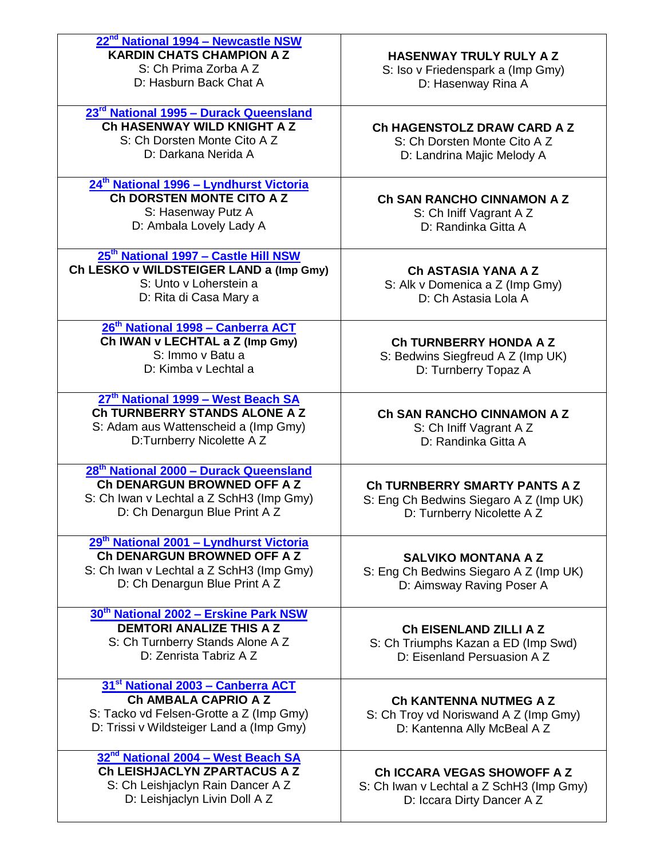| 22 <sup>nd</sup> National 1994 - Newcastle NSW<br><b>KARDIN CHATS CHAMPION A Z</b><br>S: Ch Prima Zorba A Z<br>D: Hasburn Back Chat A                           | <b>HASENWAY TRULY RULY A Z</b><br>S: Iso v Friedenspark a (Imp Gmy)<br>D: Hasenway Rina A             |
|-----------------------------------------------------------------------------------------------------------------------------------------------------------------|-------------------------------------------------------------------------------------------------------|
| 23 <sup>rd</sup> National 1995 - Durack Queensland<br>Ch HASENWAY WILD KNIGHT A Z<br>S: Ch Dorsten Monte Cito A Z<br>D: Darkana Nerida A                        | Ch HAGENSTOLZ DRAW CARD A Z<br>S: Ch Dorsten Monte Cito A Z<br>D: Landrina Majic Melody A             |
| 24 <sup>th</sup> National 1996 - Lyndhurst Victoria<br><b>Ch DORSTEN MONTE CITO A Z</b><br>S: Hasenway Putz A<br>D: Ambala Lovely Lady A                        | Ch SAN RANCHO CINNAMON A Z<br>S: Ch Iniff Vagrant A Z<br>D: Randinka Gitta A                          |
| 25 <sup>th</sup> National 1997 - Castle Hill NSW<br>Ch LESKO v WILDSTEIGER LAND a (Imp Gmy)<br>S: Unto y Loherstein a<br>D: Rita di Casa Mary a                 | Ch ASTASIA YANA A Z<br>S: Alk v Domenica a Z (Imp Gmy)<br>D: Ch Astasia Lola A                        |
| 26 <sup>th</sup> National 1998 - Canberra ACT<br>Ch IWAN v LECHTAL a Z (Imp Gmy)<br>S: Immo y Batu a<br>D: Kimba v Lechtal a                                    | <b>Ch TURNBERRY HONDA A Z</b><br>S: Bedwins Siegfreud A Z (Imp UK)<br>D: Turnberry Topaz A            |
| 27 <sup>th</sup> National 1999 - West Beach SA<br>Ch TURNBERRY STANDS ALONE A Z<br>S: Adam aus Wattenscheid a (Imp Gmy)<br>D:Turnberry Nicolette A Z            | Ch SAN RANCHO CINNAMON A Z<br>S: Ch Iniff Vagrant A Z<br>D: Randinka Gitta A                          |
| 28 <sup>th</sup> National 2000 - Durack Queensland<br>Ch DENARGUN BROWNED OFF A Z<br>S: Ch Iwan v Lechtal a Z SchH3 (Imp Gmy)<br>D: Ch Denargun Blue Print A Z  | Ch TURNBERRY SMARTY PANTS A Z<br>S: Eng Ch Bedwins Siegaro A Z (Imp UK)<br>D: Turnberry Nicolette A Z |
| 29 <sup>th</sup> National 2001 - Lyndhurst Victoria<br>Ch DENARGUN BROWNED OFF A Z<br>S: Ch Iwan v Lechtal a Z SchH3 (Imp Gmy)<br>D: Ch Denargun Blue Print A Z | <b>SALVIKO MONTANA A Z</b><br>S: Eng Ch Bedwins Siegaro A Z (Imp UK)<br>D: Aimsway Raving Poser A     |
| 30 <sup>th</sup> National 2002 - Erskine Park NSW<br><b>DEMTORI ANALIZE THIS A Z</b><br>S: Ch Turnberry Stands Alone A Z<br>D: Zenrista Tabriz A Z              | <b>Ch EISENLAND ZILLI A Z</b><br>S: Ch Triumphs Kazan a ED (Imp Swd)<br>D: Eisenland Persuasion A Z   |
| 31 <sup>st</sup> National 2003 - Canberra ACT<br>Ch AMBALA CAPRIO A Z<br>S: Tacko vd Felsen-Grotte a Z (Imp Gmy)<br>D: Trissi v Wildsteiger Land a (Imp Gmy)    | <b>Ch KANTENNA NUTMEG A Z</b><br>S: Ch Troy vd Noriswand A Z (Imp Gmy)<br>D: Kantenna Ally McBeal A Z |
| 32 <sup>nd</sup> National 2004 - West Beach SA<br>Ch LEISHJACLYN ZPARTACUS A Z<br>S: Ch Leishjaclyn Rain Dancer A Z<br>D: Leishjaclyn Livin Doll A Z            | Ch ICCARA VEGAS SHOWOFF A Z<br>S: Ch Iwan v Lechtal a Z SchH3 (Imp Gmy)<br>D: Iccara Dirty Dancer A Z |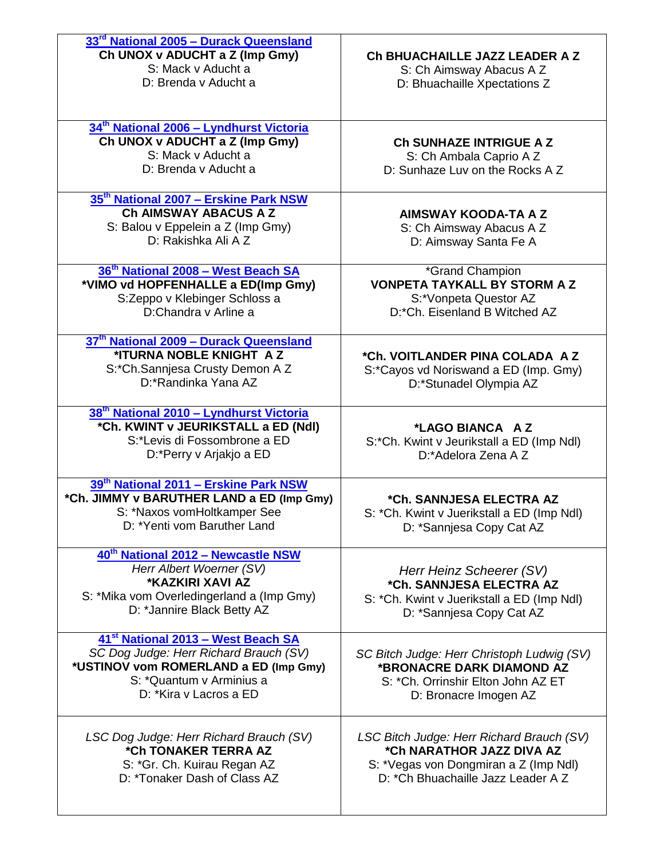| 33 <sup>rd</sup> National 2005 - Durack Queensland<br>Ch UNOX v ADUCHT a Z (Imp Gmy)<br>S: Mack v Aducht a<br>D: Brenda v Aducht a                                                      | Ch BHUACHAILLE JAZZ LEADER A Z<br>S: Ch Aimsway Abacus A Z<br>D: Bhuachaille Xpectations Z                                                             |
|-----------------------------------------------------------------------------------------------------------------------------------------------------------------------------------------|--------------------------------------------------------------------------------------------------------------------------------------------------------|
| 34 <sup>th</sup> National 2006 - Lyndhurst Victoria<br>Ch UNOX v ADUCHT a Z (Imp Gmy)<br>S: Mack v Aducht a<br>D: Brenda v Aducht a                                                     | Ch SUNHAZE INTRIGUE A Z<br>S: Ch Ambala Caprio A Z<br>D: Sunhaze Luv on the Rocks A Z                                                                  |
| 35 <sup>th</sup> National 2007 - Erskine Park NSW<br>Ch AIMSWAY ABACUS A Z<br>S: Balou v Eppelein a Z (Imp Gmy)<br>D: Rakishka Ali A Z                                                  | <b>AIMSWAY KOODA-TA A Z</b><br>S: Ch Aimsway Abacus A Z<br>D: Aimsway Santa Fe A                                                                       |
| 36 <sup>th</sup> National 2008 - West Beach SA<br>*VIMO vd HOPFENHALLE a ED(Imp Gmy)<br>S:Zeppo v Klebinger Schloss a<br>D:Chandra y Arline a                                           | *Grand Champion<br><b>VONPETA TAYKALL BY STORM A Z</b><br>S:*Vonpeta Questor AZ<br>D:*Ch. Eisenland B Witched AZ                                       |
| 37th National 2009 - Durack Queensland<br>*ITURNA NOBLE KNIGHT AZ<br>S:*Ch.Sannjesa Crusty Demon A Z<br>D:*Randinka Yana AZ                                                             | *Ch. VOITLANDER PINA COLADA AZ<br>S:*Cayos vd Noriswand a ED (Imp. Gmy)<br>D:*Stunadel Olympia AZ                                                      |
| 38 <sup>th</sup> National 2010 - Lyndhurst Victoria<br>*Ch. KWINT v JEURIKSTALL a ED (Ndl)<br>S:*Levis di Fossombrone a ED<br>D:*Perry v Arjakjo a ED                                   | *LAGO BIANCA AZ<br>S:*Ch. Kwint v Jeurikstall a ED (Imp Ndl)<br>D:*Adelora Zena A Z                                                                    |
| 39th National 2011 - Erskine Park NSW<br>*Ch. JIMMY v BARUTHER LAND a ED (Imp Gmy)<br>S: *Naxos vomHoltkamper See<br>D: *Yenti vom Baruther Land                                        | *Ch. SANNJESA ELECTRA AZ<br>S: *Ch. Kwint v Juerikstall a ED (Imp Ndl)<br>D: *Sannjesa Copy Cat AZ                                                     |
| 40th National 2012 - Newcastle NSW<br>Herr Albert Woerner (SV)<br>*KAZKIRI XAVI AZ<br>S: *Mika vom Overledingerland a (Imp Gmy)<br>D: *Jannire Black Betty AZ                           | Herr Heinz Scheerer (SV)<br>*Ch. SANNJESA ELECTRA AZ<br>S: *Ch. Kwint v Juerikstall a ED (Imp Ndl)<br>D: *Sannjesa Copy Cat AZ                         |
| 41 <sup>st</sup> National 2013 - West Beach SA<br>SC Dog Judge: Herr Richard Brauch (SV)<br>*USTINOV vom ROMERLAND a ED (Imp Gmy)<br>S: *Quantum v Arminius a<br>D: *Kira v Lacros a ED | SC Bitch Judge: Herr Christoph Ludwig (SV)<br>*BRONACRE DARK DIAMOND AZ<br>S: *Ch. Orrinshir Elton John AZ ET<br>D: Bronacre Imogen AZ                 |
| LSC Dog Judge: Herr Richard Brauch (SV)<br>*Ch TONAKER TERRA AZ<br>S: *Gr. Ch. Kuirau Regan AZ<br>D: *Tonaker Dash of Class AZ                                                          | LSC Bitch Judge: Herr Richard Brauch (SV)<br>*Ch NARATHOR JAZZ DIVA AZ<br>S: *Vegas von Dongmiran a Z (Imp Ndl)<br>D: * Ch Bhuachaille Jazz Leader A Z |